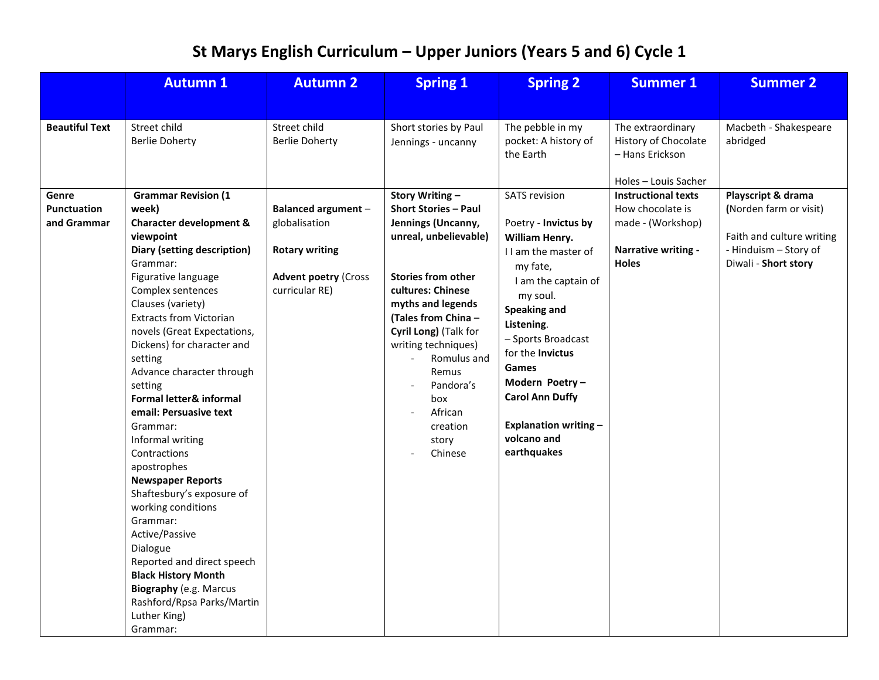## **St Marys English Curriculum – Upper Juniors (Years 5 and 6) Cycle 1**

|                                   | <b>Autumn 1</b>                                                                                                                                                                                                                                                                                                                                                                                                                                                                                                                                                                                                                 | <b>Autumn 2</b>                                                                                                       | <b>Spring 1</b>                                                                                                                                                                                                                                                                                                 | <b>Spring 2</b>                                                                                                                                                                                                                                                                                                        | <b>Summer 1</b>                                                                                                    | <b>Summer 2</b>                                                                                      |
|-----------------------------------|---------------------------------------------------------------------------------------------------------------------------------------------------------------------------------------------------------------------------------------------------------------------------------------------------------------------------------------------------------------------------------------------------------------------------------------------------------------------------------------------------------------------------------------------------------------------------------------------------------------------------------|-----------------------------------------------------------------------------------------------------------------------|-----------------------------------------------------------------------------------------------------------------------------------------------------------------------------------------------------------------------------------------------------------------------------------------------------------------|------------------------------------------------------------------------------------------------------------------------------------------------------------------------------------------------------------------------------------------------------------------------------------------------------------------------|--------------------------------------------------------------------------------------------------------------------|------------------------------------------------------------------------------------------------------|
|                                   |                                                                                                                                                                                                                                                                                                                                                                                                                                                                                                                                                                                                                                 |                                                                                                                       |                                                                                                                                                                                                                                                                                                                 |                                                                                                                                                                                                                                                                                                                        |                                                                                                                    |                                                                                                      |
| <b>Beautiful Text</b><br>Genre    | Street child<br><b>Berlie Doherty</b><br><b>Grammar Revision (1</b>                                                                                                                                                                                                                                                                                                                                                                                                                                                                                                                                                             | Street child<br><b>Berlie Doherty</b>                                                                                 | Short stories by Paul<br>Jennings - uncanny<br>Story Writing-                                                                                                                                                                                                                                                   | The pebble in my<br>pocket: A history of<br>the Earth<br><b>SATS</b> revision                                                                                                                                                                                                                                          | The extraordinary<br>History of Chocolate<br>- Hans Erickson<br>Holes - Louis Sacher<br><b>Instructional texts</b> | Macbeth - Shakespeare<br>abridged<br>Playscript & drama                                              |
| <b>Punctuation</b><br>and Grammar | week)<br><b>Character development &amp;</b><br>viewpoint<br>Diary (setting description)<br>Grammar:<br>Figurative language<br>Complex sentences<br>Clauses (variety)<br><b>Extracts from Victorian</b><br>novels (Great Expectations,<br>Dickens) for character and<br>setting<br>Advance character through<br>setting<br>Formal letter& informal<br>email: Persuasive text<br>Grammar:<br>Informal writing<br>Contractions<br>apostrophes<br><b>Newspaper Reports</b><br>Shaftesbury's exposure of<br>working conditions<br>Grammar:<br>Active/Passive<br>Dialogue<br>Reported and direct speech<br><b>Black History Month</b> | <b>Balanced argument -</b><br>globalisation<br><b>Rotary writing</b><br><b>Advent poetry (Cross</b><br>curricular RE) | <b>Short Stories - Paul</b><br>Jennings (Uncanny,<br>unreal, unbelievable)<br><b>Stories from other</b><br>cultures: Chinese<br>myths and legends<br>(Tales from China -<br>Cyril Long) (Talk for<br>writing techniques)<br>Romulus and<br>Remus<br>Pandora's<br>box<br>African<br>creation<br>story<br>Chinese | Poetry - Invictus by<br>William Henry.<br>I I am the master of<br>my fate,<br>I am the captain of<br>my soul.<br><b>Speaking and</b><br>Listening.<br>- Sports Broadcast<br>for the <b>Invictus</b><br>Games<br>Modern Poetry-<br><b>Carol Ann Duffy</b><br><b>Explanation writing -</b><br>volcano and<br>earthquakes | How chocolate is<br>made - (Workshop)<br>Narrative writing -<br><b>Holes</b>                                       | (Norden farm or visit)<br>Faith and culture writing<br>- Hinduism - Story of<br>Diwali - Short story |
|                                   | <b>Biography</b> (e.g. Marcus<br>Rashford/Rpsa Parks/Martin<br>Luther King)<br>Grammar:                                                                                                                                                                                                                                                                                                                                                                                                                                                                                                                                         |                                                                                                                       |                                                                                                                                                                                                                                                                                                                 |                                                                                                                                                                                                                                                                                                                        |                                                                                                                    |                                                                                                      |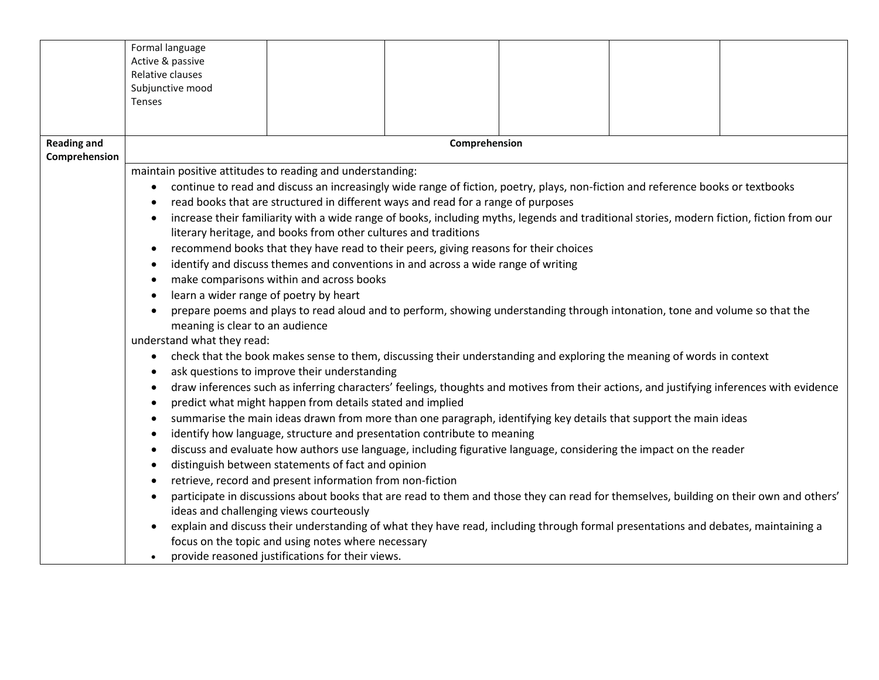|                                     | Formal language<br>Active & passive<br>Relative clauses<br>Subjunctive mood<br><b>Tenses</b>                                                                                                                                                                                                                                                                                              |                                                                                                                                                                                                                                                                                                                                                                                                                                                                                                                                                                                                                                                                                                                                                                                                                                                                                                                                                                                                                                                                                                                                                                                                                                                                                                                                                                                                                                                                                                                       |  |  |  |                                                                                                                                                                                                                                                                                    |  |  |
|-------------------------------------|-------------------------------------------------------------------------------------------------------------------------------------------------------------------------------------------------------------------------------------------------------------------------------------------------------------------------------------------------------------------------------------------|-----------------------------------------------------------------------------------------------------------------------------------------------------------------------------------------------------------------------------------------------------------------------------------------------------------------------------------------------------------------------------------------------------------------------------------------------------------------------------------------------------------------------------------------------------------------------------------------------------------------------------------------------------------------------------------------------------------------------------------------------------------------------------------------------------------------------------------------------------------------------------------------------------------------------------------------------------------------------------------------------------------------------------------------------------------------------------------------------------------------------------------------------------------------------------------------------------------------------------------------------------------------------------------------------------------------------------------------------------------------------------------------------------------------------------------------------------------------------------------------------------------------------|--|--|--|------------------------------------------------------------------------------------------------------------------------------------------------------------------------------------------------------------------------------------------------------------------------------------|--|--|
|                                     |                                                                                                                                                                                                                                                                                                                                                                                           |                                                                                                                                                                                                                                                                                                                                                                                                                                                                                                                                                                                                                                                                                                                                                                                                                                                                                                                                                                                                                                                                                                                                                                                                                                                                                                                                                                                                                                                                                                                       |  |  |  |                                                                                                                                                                                                                                                                                    |  |  |
| <b>Reading and</b><br>Comprehension |                                                                                                                                                                                                                                                                                                                                                                                           | Comprehension                                                                                                                                                                                                                                                                                                                                                                                                                                                                                                                                                                                                                                                                                                                                                                                                                                                                                                                                                                                                                                                                                                                                                                                                                                                                                                                                                                                                                                                                                                         |  |  |  |                                                                                                                                                                                                                                                                                    |  |  |
|                                     | maintain positive attitudes to reading and understanding:<br>$\bullet$<br>٠<br>$\bullet$<br>$\bullet$<br>$\bullet$<br>learn a wider range of poetry by heart<br>$\bullet$<br>$\bullet$<br>meaning is clear to an audience<br>understand what they read:<br>$\bullet$<br>$\bullet$<br>$\bullet$<br>$\bullet$<br>$\bullet$<br>$\bullet$<br>$\bullet$<br>$\bullet$<br>$\bullet$<br>$\bullet$ | continue to read and discuss an increasingly wide range of fiction, poetry, plays, non-fiction and reference books or textbooks<br>read books that are structured in different ways and read for a range of purposes<br>increase their familiarity with a wide range of books, including myths, legends and traditional stories, modern fiction, fiction from our<br>literary heritage, and books from other cultures and traditions<br>recommend books that they have read to their peers, giving reasons for their choices<br>identify and discuss themes and conventions in and across a wide range of writing<br>make comparisons within and across books<br>prepare poems and plays to read aloud and to perform, showing understanding through intonation, tone and volume so that the<br>check that the book makes sense to them, discussing their understanding and exploring the meaning of words in context<br>ask questions to improve their understanding<br>predict what might happen from details stated and implied<br>summarise the main ideas drawn from more than one paragraph, identifying key details that support the main ideas<br>identify how language, structure and presentation contribute to meaning<br>discuss and evaluate how authors use language, including figurative language, considering the impact on the reader<br>distinguish between statements of fact and opinion<br>retrieve, record and present information from non-fiction<br>ideas and challenging views courteously |  |  |  | draw inferences such as inferring characters' feelings, thoughts and motives from their actions, and justifying inferences with evidence<br>participate in discussions about books that are read to them and those they can read for themselves, building on their own and others' |  |  |
|                                     | explain and discuss their understanding of what they have read, including through formal presentations and debates, maintaining a<br>$\bullet$<br>focus on the topic and using notes where necessary<br>provide reasoned justifications for their views.                                                                                                                                  |                                                                                                                                                                                                                                                                                                                                                                                                                                                                                                                                                                                                                                                                                                                                                                                                                                                                                                                                                                                                                                                                                                                                                                                                                                                                                                                                                                                                                                                                                                                       |  |  |  |                                                                                                                                                                                                                                                                                    |  |  |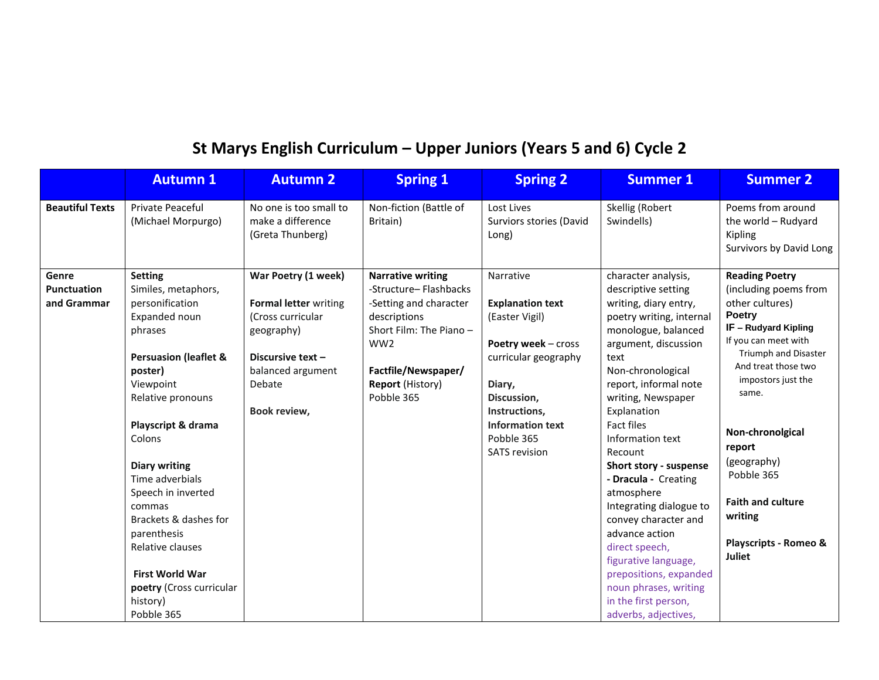## **St Marys English Curriculum – Upper Juniors (Years 5 and 6) Cycle 2**

|                                            | <b>Autumn 1</b>                                                                                                                                                                                                                                                                                                                                                                                                              | <b>Autumn 2</b>                                                                                                                                            | <b>Spring 1</b>                                                                                                                                                                                          | <b>Spring 2</b>                                                                                                                                                                                                  | <b>Summer 1</b>                                                                                                                                                                                                                                                                                                                                                                                                                                                                                                                                                          | <b>Summer 2</b>                                                                                                                                                                                                                                                                                                                                              |
|--------------------------------------------|------------------------------------------------------------------------------------------------------------------------------------------------------------------------------------------------------------------------------------------------------------------------------------------------------------------------------------------------------------------------------------------------------------------------------|------------------------------------------------------------------------------------------------------------------------------------------------------------|----------------------------------------------------------------------------------------------------------------------------------------------------------------------------------------------------------|------------------------------------------------------------------------------------------------------------------------------------------------------------------------------------------------------------------|--------------------------------------------------------------------------------------------------------------------------------------------------------------------------------------------------------------------------------------------------------------------------------------------------------------------------------------------------------------------------------------------------------------------------------------------------------------------------------------------------------------------------------------------------------------------------|--------------------------------------------------------------------------------------------------------------------------------------------------------------------------------------------------------------------------------------------------------------------------------------------------------------------------------------------------------------|
| <b>Beautiful Texts</b>                     | Private Peaceful<br>(Michael Morpurgo)                                                                                                                                                                                                                                                                                                                                                                                       | No one is too small to<br>make a difference<br>(Greta Thunberg)                                                                                            | Non-fiction (Battle of<br>Britain)                                                                                                                                                                       | Lost Lives<br>Surviors stories (David<br>Long)                                                                                                                                                                   | Skellig (Robert<br>Swindells)                                                                                                                                                                                                                                                                                                                                                                                                                                                                                                                                            | Poems from around<br>the world - Rudyard<br>Kipling<br>Survivors by David Long                                                                                                                                                                                                                                                                               |
| Genre<br><b>Punctuation</b><br>and Grammar | <b>Setting</b><br>Similes, metaphors,<br>personification<br>Expanded noun<br>phrases<br><b>Persuasion (leaflet &amp;</b><br>poster)<br>Viewpoint<br>Relative pronouns<br>Playscript & drama<br>Colons<br><b>Diary writing</b><br>Time adverbials<br>Speech in inverted<br>commas<br>Brackets & dashes for<br>parenthesis<br>Relative clauses<br><b>First World War</b><br>poetry (Cross curricular<br>history)<br>Pobble 365 | War Poetry (1 week)<br><b>Formal letter writing</b><br>(Cross curricular<br>geography)<br>Discursive text -<br>balanced argument<br>Debate<br>Book review, | <b>Narrative writing</b><br>-Structure-Flashbacks<br>-Setting and character<br>descriptions<br>Short Film: The Piano-<br>WW <sub>2</sub><br>Factfile/Newspaper/<br><b>Report (History)</b><br>Pobble 365 | Narrative<br><b>Explanation text</b><br>(Easter Vigil)<br>Poetry week - cross<br>curricular geography<br>Diary,<br>Discussion,<br>Instructions,<br><b>Information text</b><br>Pobble 365<br><b>SATS</b> revision | character analysis,<br>descriptive setting<br>writing, diary entry,<br>poetry writing, internal<br>monologue, balanced<br>argument, discussion<br>text<br>Non-chronological<br>report, informal note<br>writing, Newspaper<br>Explanation<br>Fact files<br>Information text<br>Recount<br>Short story - suspense<br>- Dracula - Creating<br>atmosphere<br>Integrating dialogue to<br>convey character and<br>advance action<br>direct speech,<br>figurative language,<br>prepositions, expanded<br>noun phrases, writing<br>in the first person,<br>adverbs, adjectives, | <b>Reading Poetry</b><br>(including poems from<br>other cultures)<br>Poetry<br><b>IF - Rudyard Kipling</b><br>If you can meet with<br>Triumph and Disaster<br>And treat those two<br>impostors just the<br>same.<br>Non-chronolgical<br>report<br>(geography)<br>Pobble 365<br><b>Faith and culture</b><br>writing<br>Playscripts - Romeo &<br><b>Juliet</b> |